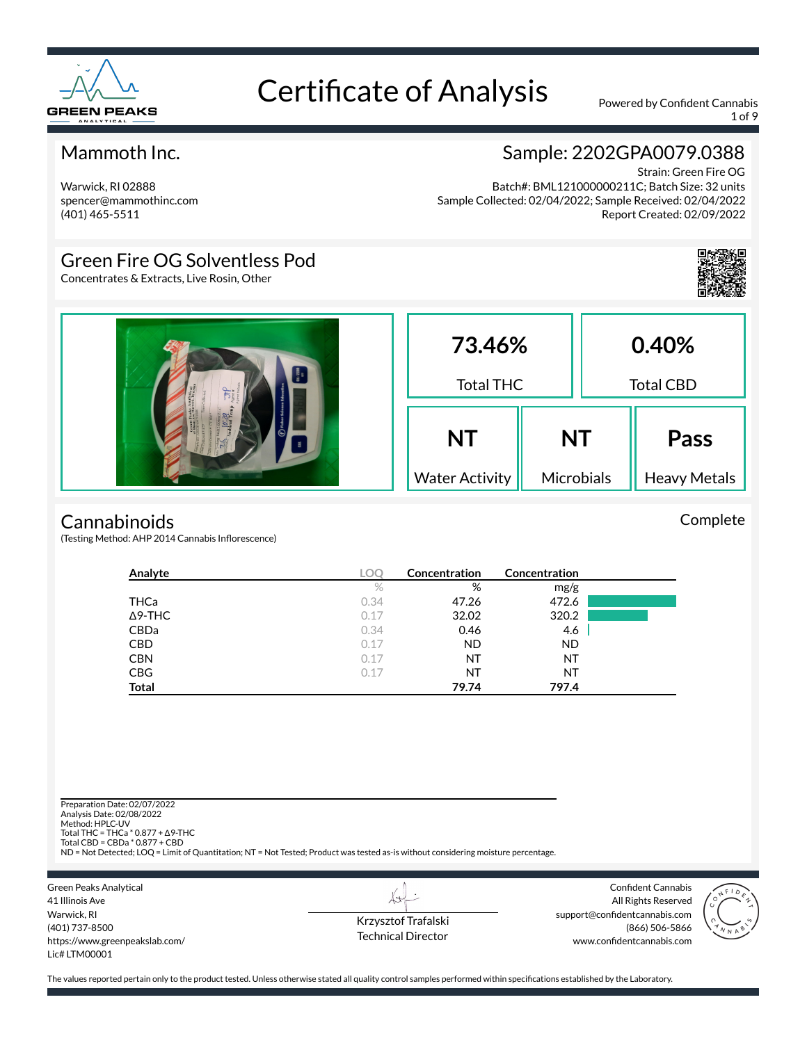

1 of 9

#### Mammoth Inc.

### Sample: 2202GPA0079.0388

Warwick, RI 02888 spencer@mammothinc.com (401) 465-5511

Strain: Green Fire OG Batch#: BML121000000211C; Batch Size: 32 units Sample Collected: 02/04/2022; Sample Received: 02/04/2022 Report Created: 02/09/2022

### Green Fire OG Solventless Pod

Concentrates & Extracts, Live Rosin, Other



Complete

| $\frac{\partial}{\partial t} \frac{\partial}{\partial \theta}$ | 73.46%<br><b>Total THC</b>         |                         | 0.40%<br><b>Total CBD</b> |                                    |
|----------------------------------------------------------------|------------------------------------|-------------------------|---------------------------|------------------------------------|
|                                                                | <b>NT</b><br><b>Water Activity</b> | <b>NT</b><br>Microbials |                           | <b>Pass</b><br><b>Heavy Metals</b> |

#### **Cannabinoids**

(Testing Method: AHP 2014 Cannabis Inflorescence)

| Analyte        | <b>LOC</b> | Concentration | <b>Concentration</b> |  |
|----------------|------------|---------------|----------------------|--|
|                | %          | %             | mg/g                 |  |
| THCa           | 0.34       | 47.26         | 472.6                |  |
| $\Delta$ 9-THC | 0.17       | 32.02         | 320.2                |  |
| CBDa           | 0.34       | 0.46          | 4.6                  |  |
| <b>CBD</b>     | 0.17       | <b>ND</b>     | <b>ND</b>            |  |
| <b>CBN</b>     | 0.17       | NT            | NT                   |  |
| <b>CBG</b>     | 0.17       | NT            | NT                   |  |
| <b>Total</b>   |            | 79.74         | 797.4                |  |

Preparation Date: 02/07/2022 Analysis Date: 02/08/2022 Method: HPLC-UV Total THC = THCa \* 0.877 + ∆9-THC Total CBD = CBDa \* 0.877 + CBD ND = Not Detected; LOQ = Limit of Quantitation; NT = Not Tested; Product was tested as-is without considering moisture percentage. Green Peaks Analytical Confident Cannabis  $\overleftrightarrow{v}$ 41 Illinois Ave All Rights Reserved

Warwick, RI (401) 737-8500 https://www.greenpeakslab.com/ Lic# LTM00001

Krzysztof Trafalski Technical Director support@confidentcannabis.com (866) 506-5866 www.confidentcannabis.com

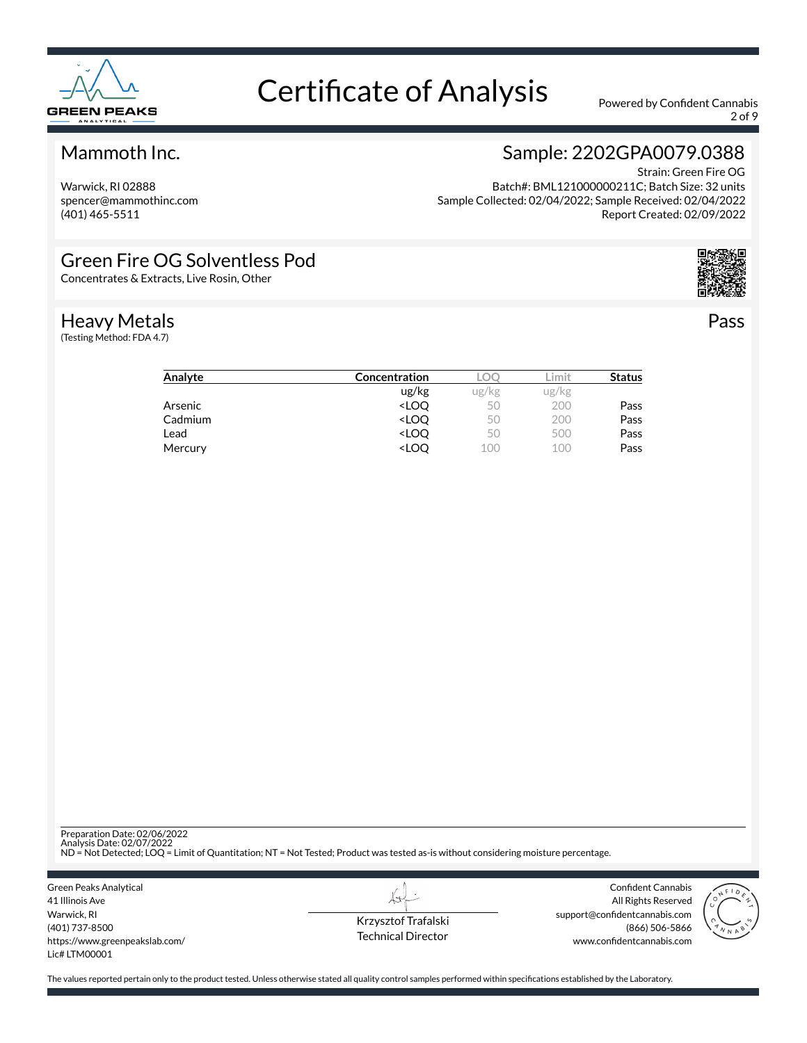

2 of 9

#### Mammoth Inc.

Warwick, RI 02888 spencer@mammothinc.com (401) 465-5511

### Sample: 2202GPA0079.0388

Strain: Green Fire OG Batch#: BML121000000211C; Batch Size: 32 units Sample Collected: 02/04/2022; Sample Received: 02/04/2022 Report Created: 02/09/2022

#### Green Fire OG Solventless Pod

Concentrates & Extracts, Live Rosin, Other

#### Heavy Metals

(Testing Method: FDA 4.7)



Pass

| Analyte | <b>Concentration</b>                                     |       | .imit | <b>Status</b> |
|---------|----------------------------------------------------------|-------|-------|---------------|
|         | ug/kg                                                    | ug/kg | ug/kg |               |
| Arsenic | <loo< td=""><td>50</td><td>200</td><td>Pass</td></loo<>  | 50    | 200   | Pass          |
| Cadmium | <loo< td=""><td>50</td><td>200</td><td>Pass</td></loo<>  | 50    | 200   | Pass          |
| Lead    | <loo< td=""><td>50</td><td>500</td><td>Pass</td></loo<>  | 50    | 500   | Pass          |
| Mercury | <loo< td=""><td>100</td><td>100</td><td>Pass</td></loo<> | 100   | 100   | Pass          |

Preparation Date: 02/06/2022<br>Analysis Date: 02/07/2022<br>ND = Not Detected; LOQ = Limit of Quantitation; NT = Not Tested; Product was tested as-is without considering moisture percentage.

Green Peaks Analytical 41 Illinois Ave Warwick, RI (401) 737-8500 https://www.greenpeakslab.com/ Lic# LTM00001

Krzysztof Trafalski Technical Director

 $\lambda\rightarrow$ 

Confident Cannabis All Rights Reserved support@confidentcannabis.com (866) 506-5866 www.confidentcannabis.com

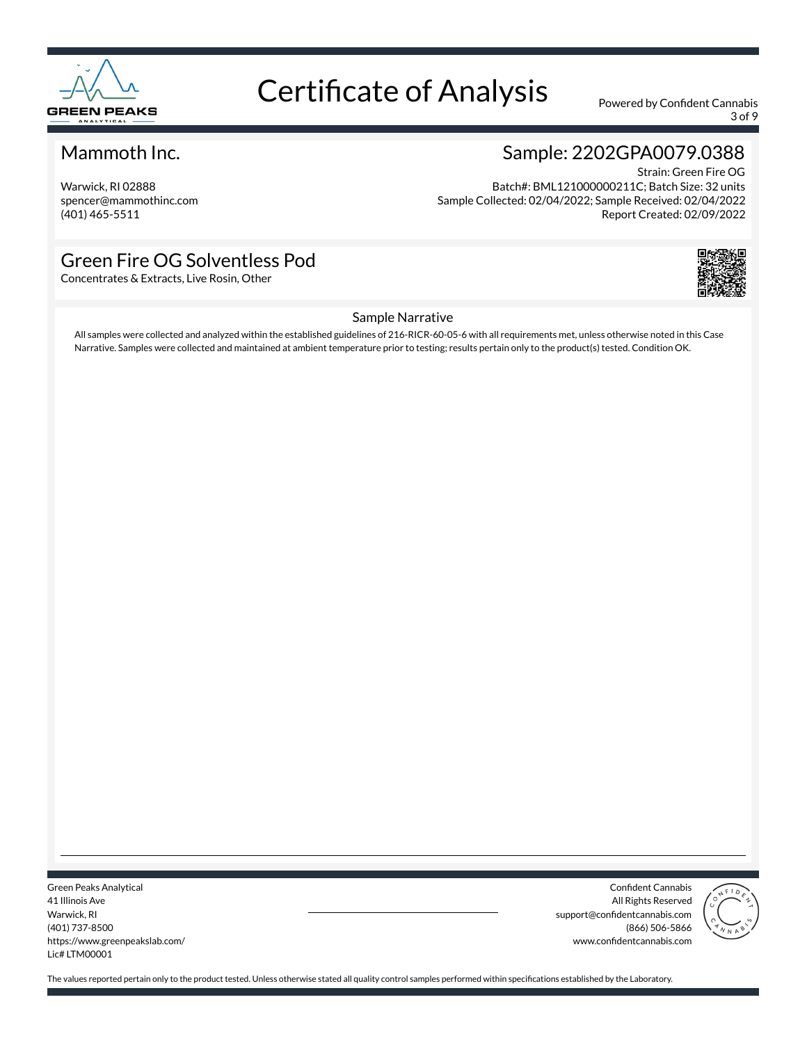

3 of 9

#### Mammoth Inc.

Warwick, RI 02888 spencer@mammothinc.com (401) 465-5511

### Sample: 2202GPA0079.0388

Strain: Green Fire OG Batch#: BML121000000211C; Batch Size: 32 units Sample Collected: 02/04/2022; Sample Received: 02/04/2022 Report Created: 02/09/2022

#### Green Fire OG Solventless Pod

Concentrates & Extracts, Live Rosin, Other



#### Sample Narrative

All samples were collected and analyzed within the established guidelines of 216-RICR-60-05-6 with all requirements met, unless otherwise noted in this Case Narrative. Samples were collected and maintained at ambient temperature prior to testing; results pertain only to the product(s) tested. Condition OK.

Green Peaks Analytical 41 Illinois Ave Warwick, RI (401) 737-8500 https://www.greenpeakslab.com/ Lic# LTM00001

Confident Cannabis All Rights Reserved support@confidentcannabis.com (866) 506-5866 www.confidentcannabis.com

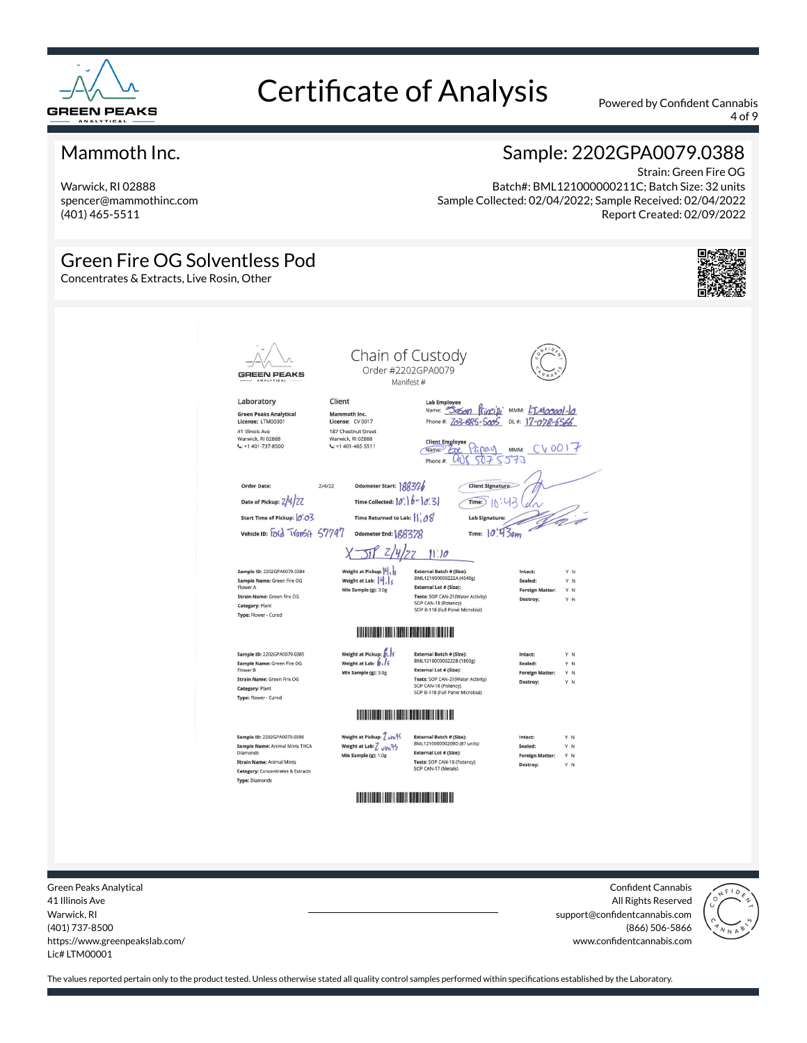

4 of 9

#### Mammoth Inc.

Warwick, RI 02888 spencer@mammothinc.com (401) 465-5511

#### Sample: 2202GPA0079.0388

Strain: Green Fire OG Batch#: BML121000000211C; Batch Size: 32 units Sample Collected: 02/04/2022; Sample Received: 02/04/2022 Report Created: 02/09/2022

#### Green Fire OG Solventless Pod Concentrates & Extracts, Live Rosin, Other Chain of Custody Order #2202GPA0079 **GREEN PEAKS** Manifest # Lab Employee<br>Name: 360n f(jncipi MMM: ETMocool-lo Laboratory Client Green Peaks Analytical<br>License: LTM00001 Mammoth Inc.<br>License: CV 0017 Phone #: 203-685-5005 DL#: 17-078-6566 41 Illinois Ave<br>Warwick, RI 02888<br>C: +1 401-737-8500 187 Chestnut Street<br>Warwick, RI 02888<br>C: +1 401-465-5511 Client Employee Papay MMM: CV0017<br>Mame 2 2 Papay MMM: CV0017 Odometer Start: 188376 Order Date:  $214122$ Client Signature Date of Pickup: 2/4/27 Time Collected:  $|\emptyset\rangle$   $|b - |0\rangle$  3  $\widehat{\mathsf{Time}}$  $\widehat{\mathsf{N}}$ :43 Start Time of Pickup: 0.03 Time Returned to Lab:  $||\rangle \partial \mathcal{E}$ Lab Si vehicle ID: Ford TVanSit 57797  $Time: 10'43$ am Odometer End: (28372)  $\pi$   $z/y/z$  $11:10$ Sample ID: 2202GPA0079.0384 Weight at Pickup:  $|4|$ , External Batch # (Size):<br>BML121000000222A (4540g) Intact Sample Name: Green Fire OG<br>Flower A Weight at Lab: 4, 3 External Lot # (Size): Min Sample (g): 3.0g Y N Foreign Ma Tests: SOP CAN-21(Water Activity)<br>SOP CAN-18 (Potency)<br>SOP B-118 (Full Panel Microbial) Strain Name: Green Fire OG Category: Plant Type: Flower - Cured **All and All and All and All and All and All and All and All and All and All and All and All and All and All a** Weight at Pickup:  $\frac{\beta}{\beta}$ Sample ID: 2202GPA0079.0385 External Batch # (Size):<br>BML121000000222B (1800g) Sample Name: Green Fire OG<br>Flower B Sealed Y N External Lot # (Size): Min Sample (g): 3.0g Foreign Matter: Y N External Lot \* (Size):<br>Tests: SOP CAN-21(Water Activity)<br>SOP CAN-18 (Potency)<br>SOP B-118 (Full Panel Microbial) Strain Name: Green Fire OG Category: Plant Type: Flower - Cured Sample ID: 2202GPA0079.0386 Weight at Pickup: 7 unfs **External Batch # (Size):**<br>BML121000000209D (87 units) Weight at Lab: 7 um 95 Sample Name: Animal Mints THCA<br>Diamonds Sealed: Y N External Lot # (Size): **Foreign Matter:** Y N **Strain Name: Animal Mints** Tests: SOP CAN-18 (Potency)<br>SOP CAN-17 (Metals) Category: Concentrates & Extracts **Type: Diamonds**

Green Peaks Analytical 41 Illinois Ave Warwick, RI (401) 737-8500 https://www.greenpeakslab.com/ Lic# LTM00001

Confident Cannabis All Rights Reserved support@confidentcannabis.com (866) 506-5866 www.confidentcannabis.com

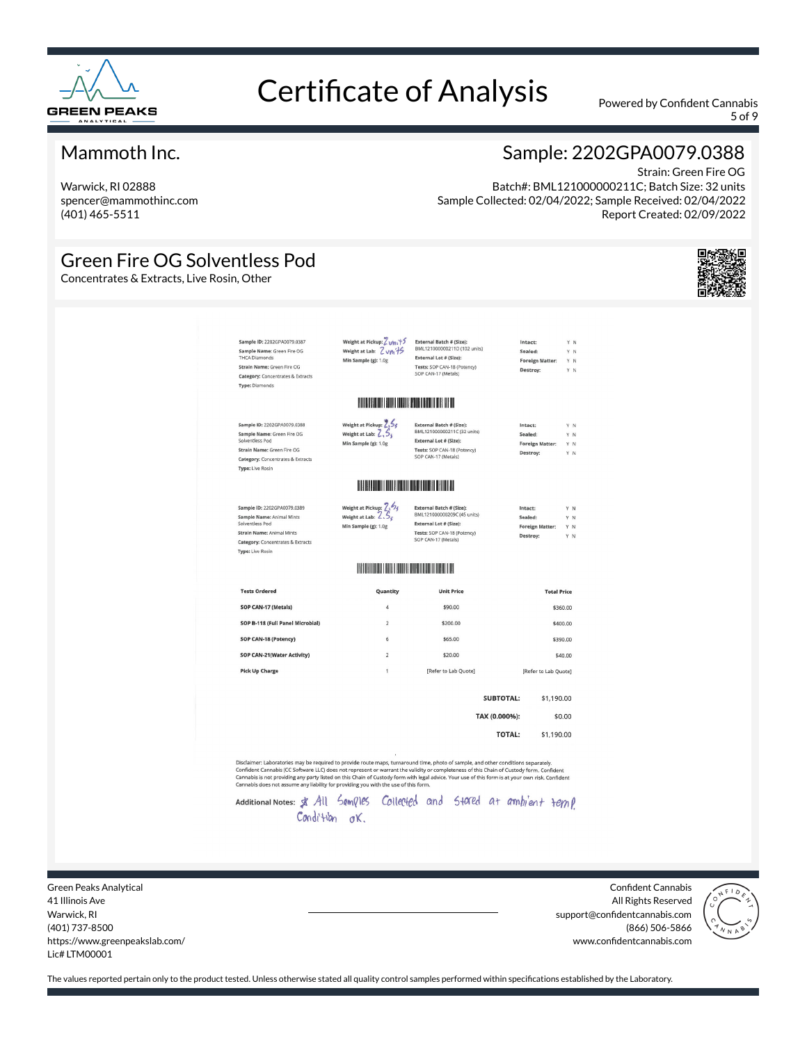

5 of 9

#### Mammoth Inc.

Warwick, RI 02888 spencer@mammothinc.com (401) 465-5511

### Sample: 2202GPA0079.0388

Strain: Green Fire OG Batch#: BML121000000211C; Batch Size: 32 units Sample Collected: 02/04/2022; Sample Received: 02/04/2022 Report Created: 02/09/2022

#### Green Fire OG Solventless Pod

Concentrates & Extracts, Live Rosin, Other



| Sample ID: 2202GPA0079.0387<br>Sample Name: Green Fire OG<br><b>THCA Diamonds</b><br>Strain Name: Green Fire OG<br><b>Category:</b> Concentrates & Extracts<br><b>Type: Diamonds</b>  | Weight at Pickup: Zum<br>Weight at Lab: Z vni 15<br>Min Sample (g): 1.0g        | External Batch # (Size):<br>BML121000000211D (102 units)<br>External Lot # (Size):<br>Tests: SOP CAN-18 (Potency)<br>SOP CAN-17 (Metals) | Intact:<br>Sealed:<br>Destroy: | <b>Foreign Matter:</b> | YN<br>YN<br>Y N<br>YN    |
|---------------------------------------------------------------------------------------------------------------------------------------------------------------------------------------|---------------------------------------------------------------------------------|------------------------------------------------------------------------------------------------------------------------------------------|--------------------------------|------------------------|--------------------------|
|                                                                                                                                                                                       | <b>IN THE REAL PROPERTY OF STATE OF BUILDING</b>                                |                                                                                                                                          |                                |                        |                          |
| Sample ID: 2202GPA0079.0388<br>Sample Name: Green Fire OG<br>Solventless Pod<br>Strain Name: Green Fire OG<br><b>Category: Concentrates &amp; Extracts</b><br><b>Type: Live Rosin</b> | Weight at Pickup: 2.56<br>Weight at Lab: $2.5$<br>Min Sample (g): 1.0g          | External Batch # (Size):<br>BML121000000211C (32 units)<br>External Lot # (Size):<br>Tests: SOP CAN-18 (Potency)<br>SOP CAN-17 (Metals)  | Intact:<br>Sealed:<br>Destroy: | <b>Foreign Matter:</b> | Y N<br>Y N<br>YN<br>Y N  |
|                                                                                                                                                                                       | <b>THE REPORT OF PERSONS ASSESSED AND REPORT</b>                                |                                                                                                                                          |                                |                        |                          |
| Sample ID: 2202GPA0079.0389<br>Sample Name: Animal Mints<br>Solventless Pod<br><b>Strain Name: Animal Mints</b>                                                                       | Weight at Pickup: 7, 54<br>Weight at Lab: $\angle .5_c$<br>Min Sample (g): 1.0g | External Batch # (Size):<br>BML121000000209C (45 units)<br>External Lot # (Size):<br>Tests: SOP CAN-18 (Potency)<br>SOP CAN-17 (Metals)  | Intact:<br>Sealed:<br>Destroy: | <b>Foreign Matter:</b> | Y N<br>Y N<br>Y N<br>Y N |
|                                                                                                                                                                                       |                                                                                 |                                                                                                                                          |                                |                        |                          |
|                                                                                                                                                                                       | <b>HELL AND REAL PROPERTY</b>                                                   |                                                                                                                                          |                                |                        |                          |
| Category: Concentrates & Extracts<br><b>Type: Live Rosin</b><br><b>Tests Ordered</b>                                                                                                  | Quantity                                                                        | <b>Unit Price</b>                                                                                                                        |                                | <b>Total Price</b>     |                          |
| SOP CAN-17 (Metals)                                                                                                                                                                   | 4                                                                               | \$90.00                                                                                                                                  |                                | \$360.00               |                          |
| SOP B-118 (Full Panel Microbial)                                                                                                                                                      | $\overline{2}$                                                                  | \$200.00                                                                                                                                 |                                | \$400.00               |                          |
| SOP CAN-18 (Potency)                                                                                                                                                                  | 6                                                                               | \$65.00                                                                                                                                  |                                | \$390.00               |                          |
| SOP CAN-21(Water Activity)                                                                                                                                                            | $\overline{2}$                                                                  | \$20.00                                                                                                                                  |                                |                        | \$40.00                  |
| <b>Pick Up Charge</b>                                                                                                                                                                 | 1                                                                               | [Refer to Lab Quote]                                                                                                                     |                                | [Refer to Lab Quote]   |                          |
|                                                                                                                                                                                       |                                                                                 |                                                                                                                                          | <b>SUBTOTAL:</b>               | \$1,190.00             |                          |
|                                                                                                                                                                                       |                                                                                 | TAX (0.000%):                                                                                                                            |                                |                        | \$0.00                   |

Cannabis is not providing any party listed on this Chain of Custody form with legal advice. Your use of this form is at your own risk. Confident Cannabis does not assume any liability for providing you with the use of this

Additional Notes: \$ All Samples Collected and Stated at ambient temp Condition ok.

Green Peaks Analytical 41 Illinois Ave Warwick, RI (401) 737-8500 https://www.greenpeakslab.com/ Lic# LTM00001

Confident Cannabis All Rights Reserved support@confidentcannabis.com (866) 506-5866 www.confidentcannabis.com

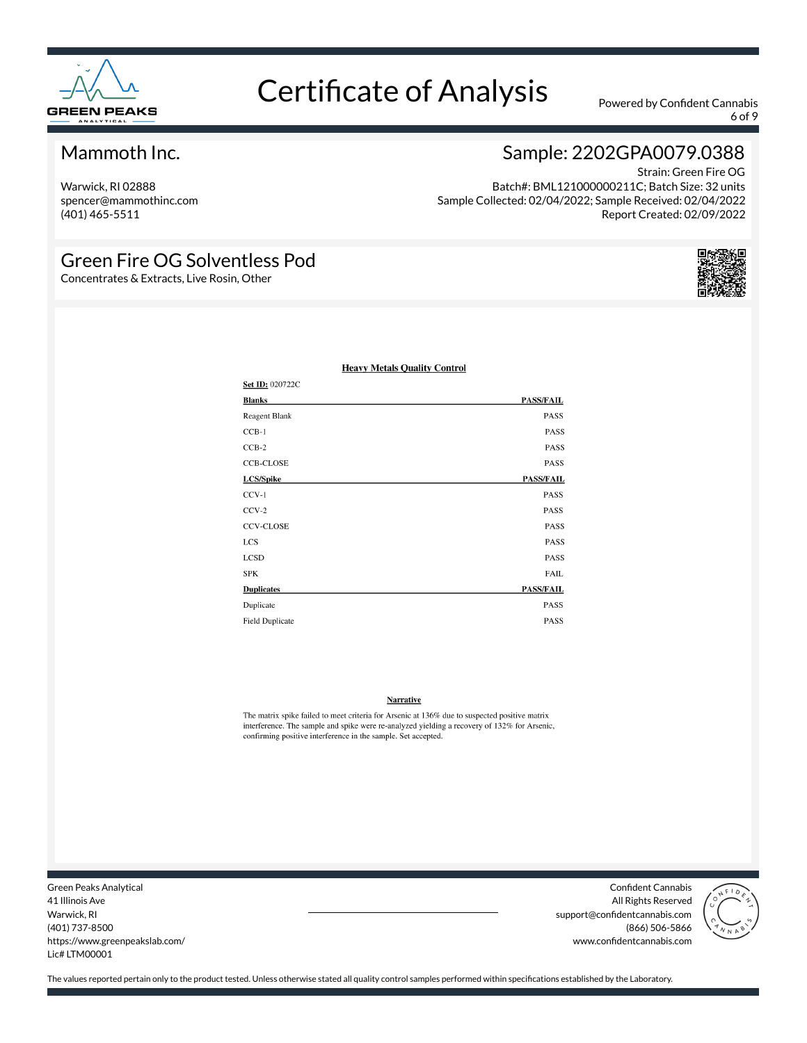

6 of 9

#### Mammoth Inc.

Warwick, RI 02888 spencer@mammothinc.com (401) 465-5511

### Sample: 2202GPA0079.0388

Strain: Green Fire OG Batch#: BML121000000211C; Batch Size: 32 units Sample Collected: 02/04/2022; Sample Received: 02/04/2022 Report Created: 02/09/2022

#### Green Fire OG Solventless Pod

Concentrates & Extracts, Live Rosin, Other



| Set ID: 020722C        |                  |
|------------------------|------------------|
| <b>Blanks</b>          | <b>PASS/FAIL</b> |
| Reagent Blank          | PASS             |
| $CCB-1$                | PASS             |
| $CCB-2$                | PASS             |
| <b>CCB-CLOSE</b>       | PASS             |
| LCS/Spike              | <b>PASS/FAIL</b> |
| $CCV-1$                | <b>PASS</b>      |
| $CCV-2$                | <b>PASS</b>      |
| <b>CCV-CLOSE</b>       | PASS             |
| <b>LCS</b>             | PASS             |
| <b>LCSD</b>            | <b>PASS</b>      |
| <b>SPK</b>             | <b>FAIL</b>      |
| <b>Duplicates</b>      | <b>PASS/FAIL</b> |
| Duplicate              | <b>PASS</b>      |
| <b>Field Duplicate</b> | <b>PASS</b>      |

#### **Heavy Metals Quality Control**

#### **Narrative**

The matrix spike failed to meet criteria for Arsenic at 136% due to suspected positive matrix interference. The sample and spike were re-analyzed yielding a recovery of 132% for Arsenic, confirming positive interference in the sample. Set accepted.

Green Peaks Analytical 41 Illinois Ave Warwick, RI (401) 737-8500 https://www.greenpeakslab.com/ Lic# LTM00001

Confident Cannabis All Rights Reserved support@confidentcannabis.com (866) 506-5866 www.confidentcannabis.com

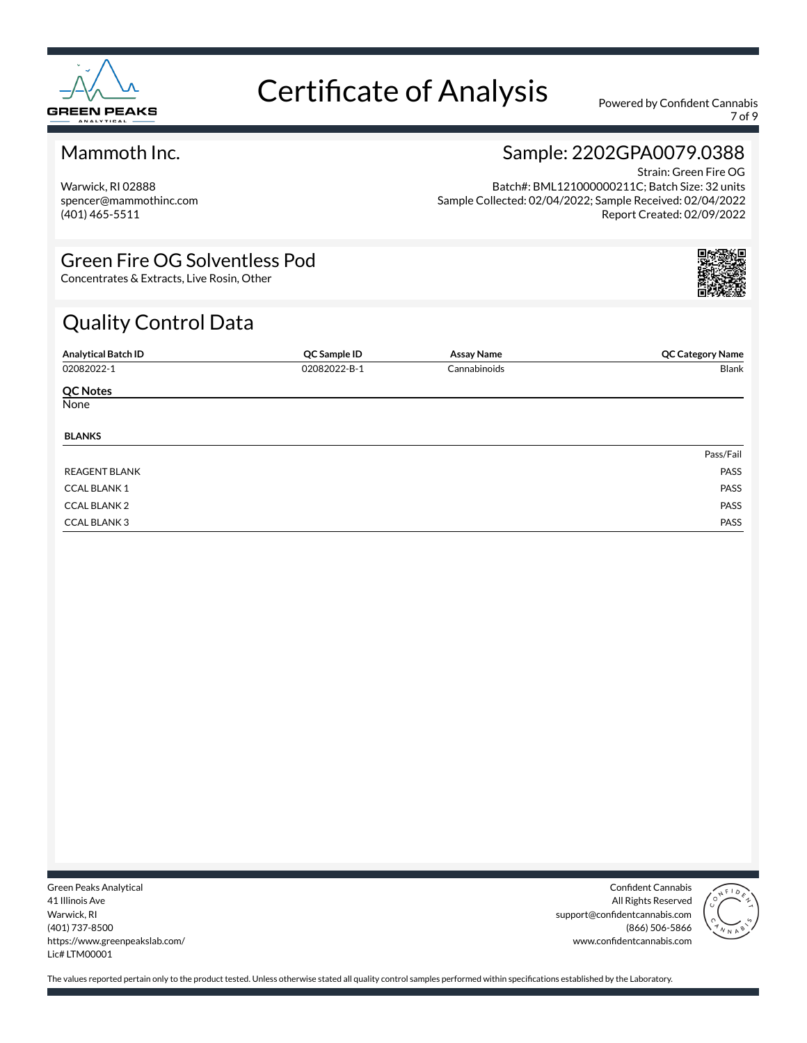

7 of 9

#### Mammoth Inc.

Warwick, RI 02888 spencer@mammothinc.com (401) 465-5511

## Sample: 2202GPA0079.0388

Strain: Green Fire OG Batch#: BML121000000211C; Batch Size: 32 units Sample Collected: 02/04/2022; Sample Received: 02/04/2022 Report Created: 02/09/2022

#### Green Fire OG Solventless Pod

Concentrates & Extracts, Live Rosin, Other

### Quality Control Data

| <b>Analytical Batch ID</b> | QC Sample ID | <b>Assay Name</b> | <b>QC Category Name</b> |
|----------------------------|--------------|-------------------|-------------------------|
| 02082022-1                 | 02082022-B-1 | Cannabinoids      | Blank                   |
| <b>QC Notes</b>            |              |                   |                         |
| None                       |              |                   |                         |
| <b>BLANKS</b>              |              |                   |                         |
|                            |              |                   | Pass/Fail               |
| <b>REAGENT BLANK</b>       |              |                   | PASS                    |
| <b>CCAL BLANK1</b>         |              |                   | PASS                    |
| <b>CCAL BLANK 2</b>        |              |                   | PASS                    |
| <b>CCAL BLANK3</b>         |              |                   | PASS                    |

Green Peaks Analytical 41 Illinois Ave Warwick, RI (401) 737-8500 https://www.greenpeakslab.com/ Lic# LTM00001

Confident Cannabis All Rights Reserved support@confidentcannabis.com (866) 506-5866 www.confidentcannabis.com

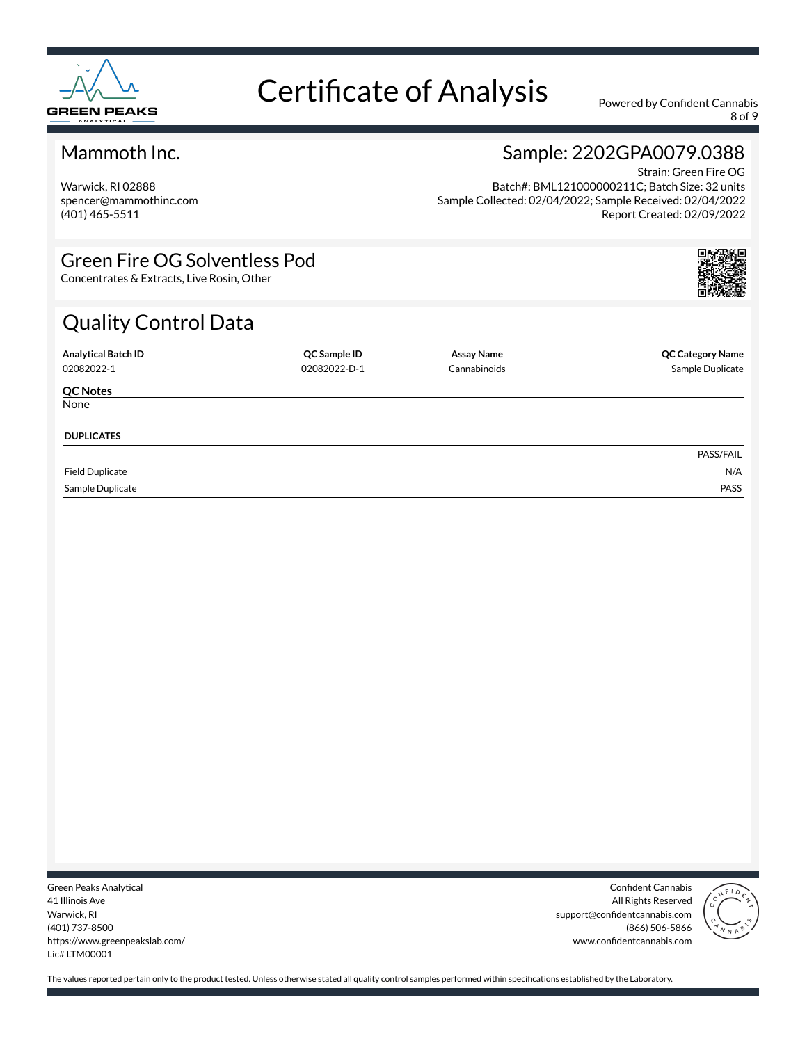

8 of 9

#### Mammoth Inc.

Warwick, RI 02888 spencer@mammothinc.com (401) 465-5511

#### Sample: 2202GPA0079.0388 Strain: Green Fire OG

Batch#: BML121000000211C; Batch Size: 32 units Sample Collected: 02/04/2022; Sample Received: 02/04/2022 Report Created: 02/09/2022

#### Green Fire OG Solventless Pod

Concentrates & Extracts, Live Rosin, Other

### Quality Control Data

| <b>Analytical Batch ID</b> | QC Sample ID | <b>Assay Name</b> | <b>QC Category Name</b> |
|----------------------------|--------------|-------------------|-------------------------|
| 02082022-1                 | 02082022-D-1 | Cannabinoids      | Sample Duplicate        |
| <b>QC Notes</b>            |              |                   |                         |
| None                       |              |                   |                         |
| <b>DUPLICATES</b>          |              |                   |                         |
|                            |              |                   | PASS/FAIL               |
| <b>Field Duplicate</b>     |              |                   | N/A                     |
| Sample Duplicate           |              |                   | PASS                    |

Green Peaks Analytical 41 Illinois Ave Warwick, RI (401) 737-8500 https://www.greenpeakslab.com/ Lic# LTM00001

Confident Cannabis All Rights Reserved support@confidentcannabis.com (866) 506-5866 www.confidentcannabis.com